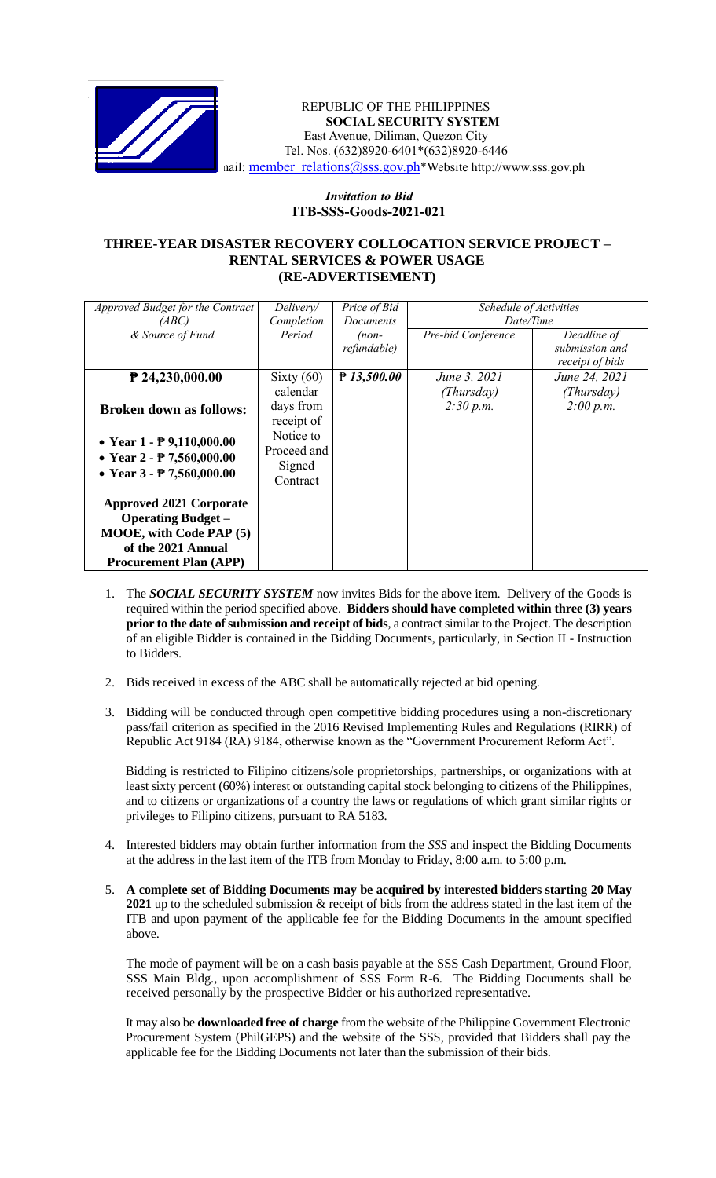

## REPUBLIC OF THE PHILIPPINES **SOCIAL SECURITY SYSTEM** East Avenue, Diliman, Quezon City Tel. Nos. (632)8920-6401\*(632)8920-6446 nail: [member\\_relations@sss.gov.ph](mailto:member_relations@sss.gov.ph)\*Website http://www.sss.gov.ph

## *Invitation to Bid*  **ITB-SSS-Goods-2021-021**

## **THREE-YEAR DISASTER RECOVERY COLLOCATION SERVICE PROJECT – RENTAL SERVICES & POWER USAGE (RE-ADVERTISEMENT)**

| Approved Budget for the Contract | Delivery/    | Price of Bid | Schedule of Activities |                 |
|----------------------------------|--------------|--------------|------------------------|-----------------|
| (ABC)                            | Completion   | Documents    | Date/Time              |                 |
| & Source of Fund                 | Period       | (non-        | Pre-bid Conference     | Deadline of     |
|                                  |              | refundable)  |                        | submission and  |
|                                  |              |              |                        | receipt of bids |
| $P$ 24,230,000.00                | Sixty $(60)$ | P13,500.00   | June 3, 2021           | June 24, 2021   |
|                                  | calendar     |              | (Thursday)             | (Thursday)      |
| <b>Broken down as follows:</b>   | days from    |              | 2:30 p.m.              | 2:00 p.m.       |
|                                  | receipt of   |              |                        |                 |
|                                  | Notice to    |              |                        |                 |
| • Year $1 - P9,110,000.00$       | Proceed and  |              |                        |                 |
| • Year $2 - P$ 7,560,000.00      |              |              |                        |                 |
| • Year $3 - P$ 7,560,000.00      | Signed       |              |                        |                 |
|                                  | Contract     |              |                        |                 |
| <b>Approved 2021 Corporate</b>   |              |              |                        |                 |
| <b>Operating Budget –</b>        |              |              |                        |                 |
|                                  |              |              |                        |                 |
| <b>MOOE, with Code PAP (5)</b>   |              |              |                        |                 |
| of the 2021 Annual               |              |              |                        |                 |
| <b>Procurement Plan (APP)</b>    |              |              |                        |                 |

- 1. The *SOCIAL SECURITY SYSTEM* now invites Bids for the above item. Delivery of the Goods is required within the period specified above. **Bidders should have completed within three (3) years prior to the date of submission and receipt of bids**, a contract similar to the Project. The description of an eligible Bidder is contained in the Bidding Documents, particularly, in Section II - Instruction to Bidders.
- 2. Bids received in excess of the ABC shall be automatically rejected at bid opening.
- 3. Bidding will be conducted through open competitive bidding procedures using a non-discretionary pass/fail criterion as specified in the 2016 Revised Implementing Rules and Regulations (RIRR) of Republic Act 9184 (RA) 9184, otherwise known as the "Government Procurement Reform Act".

Bidding is restricted to Filipino citizens/sole proprietorships, partnerships, or organizations with at least sixty percent (60%) interest or outstanding capital stock belonging to citizens of the Philippines, and to citizens or organizations of a country the laws or regulations of which grant similar rights or privileges to Filipino citizens, pursuant to RA 5183.

- 4. Interested bidders may obtain further information from the *SSS* and inspect the Bidding Documents at the address in the last item of the ITB from Monday to Friday, 8:00 a.m. to 5:00 p.m.
- 5. **A complete set of Bidding Documents may be acquired by interested bidders starting 20 May 2021** up to the scheduled submission & receipt of bids from the address stated in the last item of the ITB and upon payment of the applicable fee for the Bidding Documents in the amount specified above.

The mode of payment will be on a cash basis payable at the SSS Cash Department, Ground Floor, SSS Main Bldg., upon accomplishment of SSS Form R-6. The Bidding Documents shall be received personally by the prospective Bidder or his authorized representative.

It may also be **downloaded free of charge** from the website of the Philippine Government Electronic Procurement System (PhilGEPS) and the website of the SSS*,* provided that Bidders shall pay the applicable fee for the Bidding Documents not later than the submission of their bids.